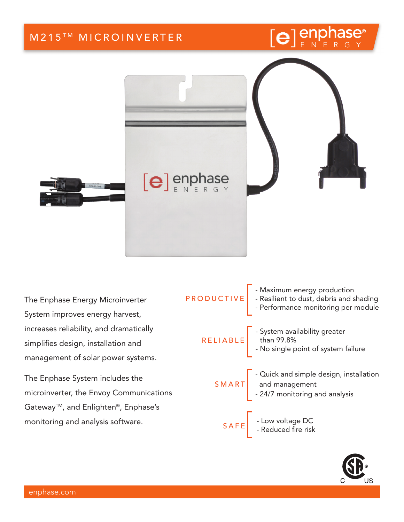

The Enphase Energy Microinverter System improves energy harvest, increases reliability, and dramatically simplifies design, installation and management of solar power systems.

The Enphase System includes the microinverter, the Envoy Communications Gateway<sup>™</sup>, and Enlighten®, Enphase's monitoring and analysis software.

| PRODUCTIVE - Maximum energy production<br>PRODUCTIVE - Resilient to dust, debris and shading<br>Performance monitoring per module                    |
|------------------------------------------------------------------------------------------------------------------------------------------------------|
| RELIABLE - System availability greater<br>RELIABLE - No single point of system failure                                                               |
| $SMART\begin{bmatrix} -\text{Quick and simple design, installation} \\ \text{and management} \\ -24/7 \text{ monitoring and analysis} \end{bmatrix}$ |
| SAFE - Low voltage DC<br>- Reduced fire risk                                                                                                         |